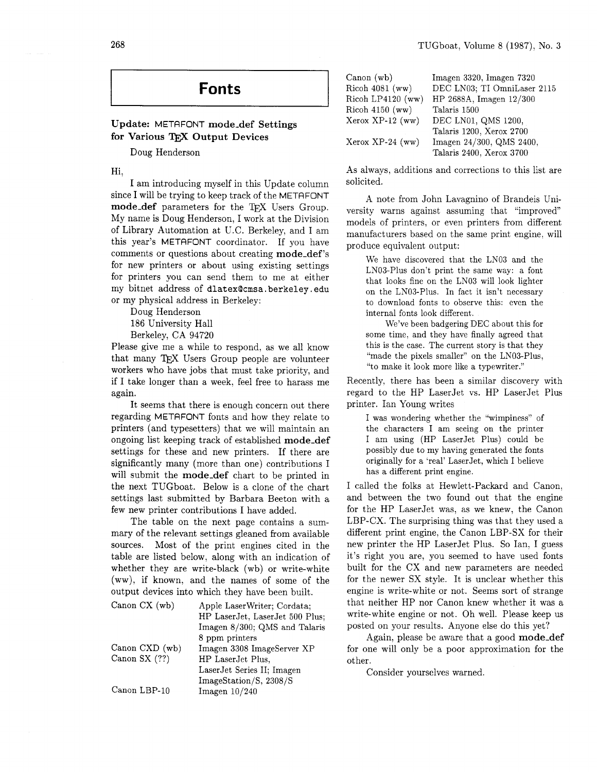# **Fonts**

### Update: METAFONT mode-def Settings for Various TEX Output Devices

Doug Henderson

Hi,

I am introducing myself in this Update column since I will be trying to keep track of the METAFONT mode\_def parameters for the TFX Users Group. My name is Doug Henderson, I work at the Division of Library Automation at U.C. Berkeley, and I am this year's METAFONT coordinator. If you have comments or questions about creating mode-def's for new printers or about using existing settings for printers you can send them to me at either my bitnet address of dlatexQcmsa. berkeley . edu or my physical address in Berkeley:

Doug Henderson

186 University Hall

Berkeley, CA 94720

Please give me a while to respond, as we all know that many TEX Users Group people are volunteer workers who have jobs that must take priority, and if I take longer than a week, feel free to harass me again.

It seems that there is enough concern out there regarding METAFONT fonts and how they relate to printers (and typesetters) that we will maintain an ongoing list keeping track of established mode-def settings for these and new printers. If there are significantly many (more than one) contributions I will submit the mode-def chart to be printed in the next TUGboat. Below is a clone of the chart settings last submitted by Barbara Beeton with a few new printer contributions I have added.

The table on the next page contains a summary of the relevant settings gleaned from available sources. Most of the print engines cited in the table are listed below, along with an indication of whether they are write-black (wb) or write-white (ww), if known, and the names of some of the output devices into which they have been built.

| Canon $CX$ (wb) | Apple LaserWriter; Cordata;<br>HP LaserJet, LaserJet 500 Plus;<br>Imagen 8/300; QMS and Talaris |
|-----------------|-------------------------------------------------------------------------------------------------|
| Canon CXD (wb)  | 8 ppm printers<br>Imagen 3308 ImageServer XP                                                    |
| Canon SX (??)   | HP LaserJet Plus,<br>LaserJet Series II; Imagen                                                 |
| Canon LBP-10    | ImageStation/S, 2308/S<br>Imagen $10/240$                                                       |

| Canon (wb)         | Imagen 3320, Imagen 7320    |
|--------------------|-----------------------------|
| Ricoh 4081 (ww)    | DEC LN03; TI OmniLaser 2115 |
| Ricoh LP4120 (ww)  | HP 2688A, Imagen 12/300     |
| $Ricoh$ 4150 (ww)  | Talaris 1500                |
| $Xerox XP-12 (ww)$ | DEC LN01, QMS 1200,         |
|                    | Talaris 1200, Xerox 2700    |
| Xerox XP-24 (ww)   | Imagen 24/300, QMS 2400,    |
|                    | Talaris 2400, Xerox 3700    |

As always, additions and corrections to this list are solicited.

A note from John Lavagnino of Brandeis University warns against assuming that "improved" models of printers, or even printers from different manufacturers based on the same print engine, will produce equivalent output:

We have discovered that the LN03 and the LN03-Plus don't print the same way: a font that looks fine on the LN03 will look lighter on the LN03-Plus. In fact it isn't necessary to download fonts to observe this: even the internal fonts look different.

We've been badgering DEC about this for some time, and they have finally agreed that this is the case. The current story is that they "made the pixels smaller" on the LN03-Plus, "to make it look more like a typewriter."

Recently, there has been a similar discovery with regard to the HP LaserJet vs. HP LaserJet Plus printer. Ian Young writes

I was wondering whether the "wimpiness" of the characters I am seeing on the printer I am using (HP LaserJet Plus) could be possibly due to my having generated the fonts originally for a 'real' LaserJet, which I believe has a different print engine.

I called the folks at Hewlett-Packard and Canon, and between the two found out that the engine for the HP LaserJet was, as we knew, the Canon LBP-CX. The surprising thing was that they used a different print engine, the Canon LBP-SX for their new printer the HP LaserJet Plus. So Ian, I guess it's right you are, you seemed to have used fonts built for the CX and new parameters are needed for the newer SX style. It is unclear whether this engine is write-white or not. Seems sort of strange that neither HP nor Canon knew whether it was a write-white engine or not. Oh well. Please keep us posted on your results. Anyone else do this yet?

Again, please be aware that a good mode-def for one will only be a poor approximation for the other.

Consider yourselves warned.

268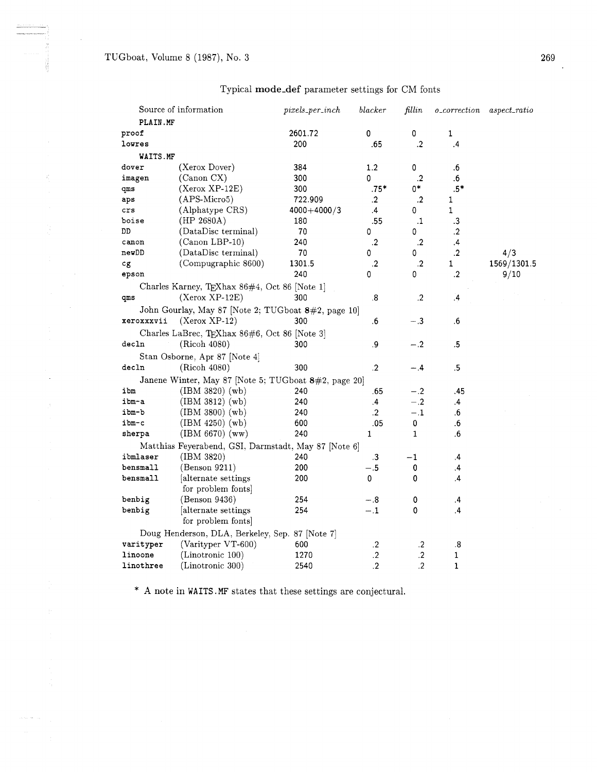|            | Source of information                                | $pixels\_per\_inch$ | blacker | fillin               | <i>o_correction</i> | $aspect\_ratio$ |
|------------|------------------------------------------------------|---------------------|---------|----------------------|---------------------|-----------------|
| PLAIN.MF   |                                                      |                     |         |                      |                     |                 |
| proof      |                                                      | 2601.72             | 0       | 0                    | $\mathbf 1$         |                 |
| lowres     |                                                      | 200                 | .65     | $\cdot$              | $\cdot$             |                 |
| WAITS.MF   |                                                      |                     |         |                      |                     |                 |
| dover      | (Xerox Dover)                                        | 384                 | 1.2     | 0                    | .6                  |                 |
| imagen     | (Canon CX)                                           | 300                 | 0       | $\cdot$ <sub>2</sub> | .6                  |                 |
| qms        | $(Xerox XP-12E)$                                     | 300                 | $.75*$  | 0*                   | $.5*$               |                 |
| aps        | (APS-Micro5)                                         | 722.909             | $\cdot$ | $\cdot$              | 1                   |                 |
| crs        | (Alphatype CRS)                                      | $4000 + 4000/3$     | $\cdot$ | 0                    | 1                   |                 |
| boise      | (HP 2680A)                                           | 180                 | .55     | $\cdot$              | .3                  |                 |
| DD         | (DataDisc terminal)                                  | 70                  | 0       | 0                    | $\cdot$             |                 |
| canon      | (Canon LBP-10)                                       | 240                 | $\cdot$ | $\cdot$              | $\cdot$             |                 |
| newDD      | (DataDisc terminal)                                  | 70                  | 0       | 0                    | $\cdot$ .2          | 4/3             |
| cg         | (Compugraphic 8600)                                  | 1301.5              | $\cdot$ | $\cdot$              | 1                   | 1569/1301.5     |
| epson      |                                                      | 240                 | 0       | 0                    | $\cdot$             | 9/10            |
|            | Charles Karney, TEXhax 86#4, Oct 86 [Note 1]         |                     |         |                      |                     |                 |
| qms        | $(Xerox XP-12E)$                                     | 300                 | .8      | $\cdot$              | $\cdot$             |                 |
|            | John Gourlay, May 87 [Note 2; TUGboat 8#2, page 10]  |                     |         |                      |                     |                 |
| xeroxxxvii | $(Xerox XP-12)$                                      | 300                 | .6      | $-.3$                | .6                  |                 |
|            | Charles LaBrec, TEXhax 86#6, Oct 86 [Note 3]         |                     |         |                      |                     |                 |
| decln      | (Ricoh 4080)                                         | 300                 | .9      | $-.2$                | .5                  |                 |
|            |                                                      |                     |         |                      |                     |                 |
|            | Stan Osborne, Apr 87 [Note 4]                        |                     |         |                      |                     |                 |
| decln      | (Ricoh 4080)                                         | 300                 | .2      | -.4                  | .5                  |                 |
|            | Janene Winter, May 87 [Note 5; TUGboat 8#2, page 20] |                     |         |                      |                     |                 |
| ibm        | (IBM 3820) (wb)                                      | 240                 | .65     | $-.2$                | .45                 |                 |
| ibm-a      | $(IBM 3812)$ (wb)                                    | 240                 | .4      | $-.2$                | $\cdot$             |                 |
| ibm-b      | $(IBM 3800)$ $(wb)$                                  | 240                 | $\cdot$ | $-.1$                | .6                  |                 |
| ibm-c      | $(IBM 4250)$ (wb)                                    | 600                 | .05     | 0                    | .6                  |                 |
| sherpa     | $(HBM 6670)$ (ww)                                    | 240                 | 1       | 1                    | .6                  |                 |
|            | Matthias Feyerabend, GSI, Darmstadt, May 87 [Note 6] |                     |         |                      |                     |                 |
| ibmlaser   | (IBM 3820)                                           | 240                 | .3      | $^{-1}$              | $\cdot$             |                 |
| bensmall   | (Benson 9211)                                        | 200                 | $-.5$   | 0                    | .4                  |                 |
| bensmall   | alternate settings                                   | 200                 | 0       | 0                    | .4                  |                 |
|            | for problem fonts                                    |                     |         |                      |                     |                 |
| benbig     | (Benson 9436)                                        | 254                 | $-.8$   | 0                    | $\cdot$             |                 |
| benbig     | [alternate settings]                                 | 254                 | $-.1$   | 0                    | $\cdot$             |                 |
|            | for problem fonts                                    |                     |         |                      |                     |                 |
|            | Doug Henderson, DLA, Berkeley, Sep. 87 [Note 7]      |                     |         |                      |                     |                 |
| varityper  | (Varityper VT-600)                                   | 600                 | $\cdot$ | $\cdot$              | .8                  |                 |
| linoone    | (Linotronic 100)                                     | 1270                | $\cdot$ | $\cdot$              | $\mathbf 1$         |                 |
| linothree  | (Linotronic 300)                                     | 2540                | $\cdot$ | $\cdot$              | 1                   |                 |
|            |                                                      |                     |         |                      |                     |                 |

## Typical **mode-def** parameter settings for CM fonts

\* **A** note in **WAITS** .MF states that these settings are conjectural.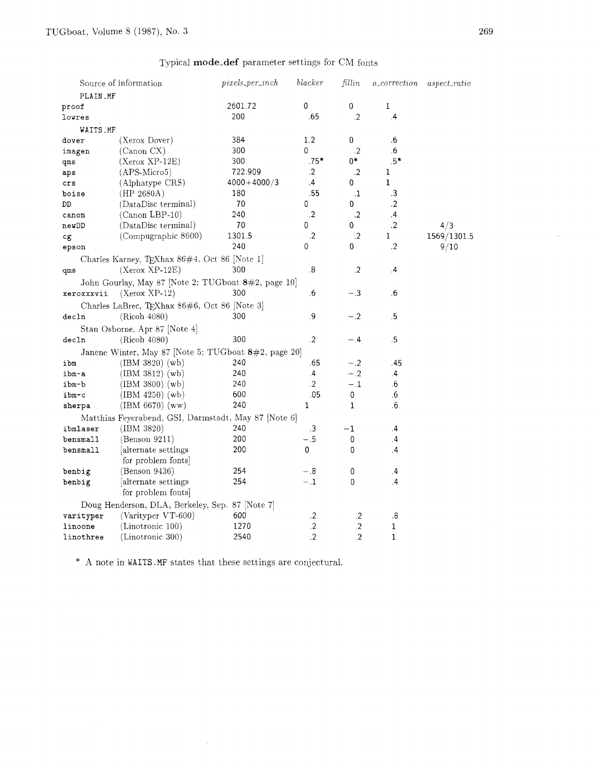## Typical mode-def parameter settings for CM fonts

|                                                 | Source of information                                | $pixels\_per\_inch$ | blacker         | fillin       | <i>o_correction</i> | $\emph{aspect\_ratio}$ |  |
|-------------------------------------------------|------------------------------------------------------|---------------------|-----------------|--------------|---------------------|------------------------|--|
| PLAIN.MF                                        |                                                      |                     |                 |              |                     |                        |  |
| proof                                           |                                                      | 2601.72             | 0               | $\,0$        | 1                   |                        |  |
| lowres                                          |                                                      | 200                 | .65             | $\cdot$      | $\cdot$             |                        |  |
| WAITS.MF                                        |                                                      |                     |                 |              |                     |                        |  |
| dover                                           | (Xerox Dover)                                        | 384                 | 1.2             | 0            | .6                  |                        |  |
| imagen                                          | (Canon CX)                                           | 300                 | 0               | $\cdot$ 2    | .6                  |                        |  |
| qms                                             | $(Xerox XP-12E)$                                     | 300                 | $.75*$          | $0*$         | $.5*$               |                        |  |
| aps                                             | $(APS-Micro5)$                                       | 722.909             | $.2\phantom{0}$ | $\cdot$      | 1                   |                        |  |
| crs                                             | (Alphatype CRS)                                      | $4000 + 4000/3$     | $\cdot$         | 0            | $\mathbf 1$         |                        |  |
| boise                                           | (HP 2680A)                                           | 180                 | .55             | $\cdot$ 1    | .3                  |                        |  |
| DD                                              | (DataDisc terminal)                                  | 70                  | 0               | 0            | .2                  |                        |  |
| canon                                           | (Canon LBP-10)                                       | 240                 | $\cdot$         | $\cdot$      | $\cdot$             |                        |  |
| newDD                                           | (DataDisc terminal)                                  | 70                  | 0               | 0            | $\cdot$             | 4/3                    |  |
| cg                                              | (Compugraphic 8600)                                  | 1301.5              | $\cdot$         | $\cdot$      | 1                   | 1569/1301.5            |  |
| epson                                           |                                                      | 240                 | 0               | 0            | $\cdot$             | 9/10                   |  |
|                                                 | Charles Karney, TEXhax 86#4, Oct 86 [Note 1]         |                     |                 |              |                     |                        |  |
| qms                                             | $(Xerox XP-12E)$                                     | 300                 | .8              | .2           | .4                  |                        |  |
|                                                 | John Gourlay, May 87 [Note 2; TUGboat 8#2, page 10]  |                     |                 |              |                     |                        |  |
| xeroxxxvii                                      | $(Xerox XP-12)$                                      | 300                 | .6              | $-.3$        | .6                  |                        |  |
|                                                 |                                                      |                     |                 |              |                     |                        |  |
| decln                                           | Charles LaBrec, TEXhax 86#6, Oct 86 [Note 3]         | 300                 | .9              | $-.2$        | .5                  |                        |  |
|                                                 | (Ricoh 4080)                                         |                     |                 |              |                     |                        |  |
|                                                 | Stan Osborne, Apr 87 [Note 4]                        |                     |                 |              |                     |                        |  |
| decIn                                           | (Ricoh 4080)                                         | 300                 | $\cdot$         | - 4          | $\overline{5}$      |                        |  |
|                                                 | Janene Winter, May 87 [Note 5; TUGboat 8#2, page 20] |                     |                 |              |                     |                        |  |
| ibm                                             | $(BM 3820)$ (wb)                                     | 240                 | .65             | $-.2$        | -45                 |                        |  |
| ibm-a                                           | $(BM 3812)$ (wb)                                     | 240                 | $\cdot$         | $-.2$        | $\cdot$             |                        |  |
| ibm-b                                           | $(IBM 3800)$ $(wb)$                                  | 240                 | .2              | $-.1$        | .6                  |                        |  |
| ibm-c                                           | $(HBM 4250)$ (wb)                                    | 600                 | .05             | 0            | .6                  |                        |  |
| sherpa                                          | $(BM 6670)$ (ww)                                     | 240                 | 1               | $\mathbf{1}$ | .6                  |                        |  |
|                                                 | Matthias Feyerabend, GSI, Darmstadt, May 87 [Note 6] |                     |                 |              |                     |                        |  |
| ibmlaser                                        | (IBM 3820)                                           | 240                 | .3              | $^{-1}$      | .4                  |                        |  |
| bensmall                                        | (Benson 9211)                                        | 200                 | $-.5$           | 0            | $\cdot$             |                        |  |
| bensmall                                        | alternate settings                                   | 200                 | 0               | 0            | .4                  |                        |  |
|                                                 | for problem fonts                                    |                     |                 |              |                     |                        |  |
| benbig                                          | (Benson 9436)                                        | 254                 | $-.8$           | 0            | .4                  |                        |  |
| benbig                                          | alternate settings                                   | 254                 | $-1$            | 0            | .4                  |                        |  |
|                                                 | for problem fonts                                    |                     |                 |              |                     |                        |  |
| Doug Henderson, DLA, Berkeley, Sep. 87 [Note 7] |                                                      |                     |                 |              |                     |                        |  |
| varityper                                       | (Varityper VT-600)                                   | 600                 | $\cdot$ .2      | $\cdot$      | $\cdot$ 8           |                        |  |
| linoone                                         | (Linotronic 100)                                     | 1270                | $.2\phantom{0}$ | $.2\,$       | 1                   |                        |  |
| linothree                                       | (Linotronic 300)                                     | 2540                | $\cdot$         | $\cdot$      | 1                   |                        |  |
|                                                 |                                                      |                     |                 |              |                     |                        |  |

 $^\ast\,$  A note in <code>WAITS</code> .<br>MF states that these settings are conjectural.